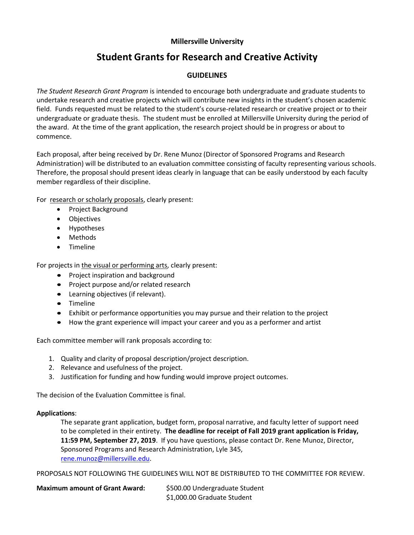# **Millersville University**

# **Student Grants for Research and Creative Activity**

# **GUIDELINES**

*The Student Research Grant Program* is intended to encourage both undergraduate and graduate students to undertake research and creative projects which will contribute new insights in the student's chosen academic field. Funds requested must be related to the student's course-related research or creative project or to their undergraduate or graduate thesis. The student must be enrolled at Millersville University during the period of the award. At the time of the grant application, the research project should be in progress or about to commence.

Each proposal, after being received by Dr. Rene Munoz (Director of Sponsored Programs and Research Administration) will be distributed to an evaluation committee consisting of faculty representing various schools. Therefore, the proposal should present ideas clearly in language that can be easily understood by each faculty member regardless of their discipline.

For research or scholarly proposals, clearly present:

- Project Background
- Objectives
- Hypotheses
- Methods
- Timeline

For projects in the visual or performing arts, clearly present:

- Project inspiration and background
- Project purpose and/or related research
- Learning objectives (if relevant).
- Timeline
- Exhibit or performance opportunities you may pursue and their relation to the project
- How the grant experience will impact your career and you as a performer and artist

Each committee member will rank proposals according to:

- 1. Quality and clarity of proposal description/project description.
- 2. Relevance and usefulness of the project.
- 3. Justification for funding and how funding would improve project outcomes.

The decision of the Evaluation Committee is final.

## **Applications**:

The separate grant application, budget form, proposal narrative, and faculty letter of support need to be completed in their entirety. **The deadline for receipt of Fall 2019 grant application is Friday, 11:59 PM, September 27, 2019**. If you have questions, please contact Dr. Rene Munoz, Director, Sponsored Programs and Research Administration, Lyle 345, [rene.munoz@millersville.edu.](mailto:rene.munoz@millersville.edu) 

PROPOSALS NOT FOLLOWING THE GUIDELINES WILL NOT BE DISTRIBUTED TO THE COMMITTEE FOR REVIEW.

| <b>Maximum amount of Grant Award:</b> | \$500.00 Undergraduate Student |
|---------------------------------------|--------------------------------|
|                                       | \$1,000.00 Graduate Student    |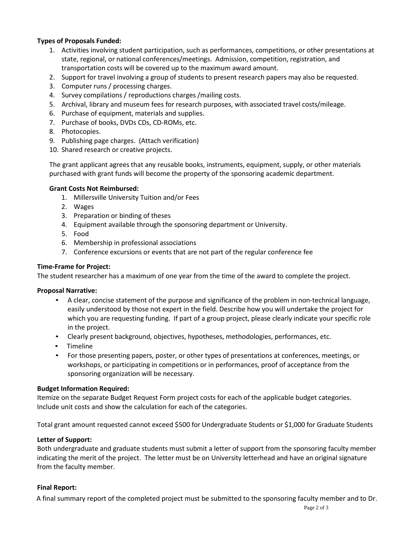# **Types of Proposals Funded:**

- 1. Activities involving student participation, such as performances, competitions, or other presentations at state, regional, or national conferences/meetings. Admission, competition, registration, and transportation costs will be covered up to the maximum award amount.
- 2. Support for travel involving a group of students to present research papers may also be requested.
- 3. Computer runs / processing charges.
- 4. Survey compilations / reproductions charges /mailing costs.
- 5. Archival, library and museum fees for research purposes, with associated travel costs/mileage.
- 6. Purchase of equipment, materials and supplies.
- 7. Purchase of books, DVDs CDs, CD-ROMs, etc.
- 8. Photocopies.
- 9. Publishing page charges. (Attach verification)
- 10. Shared research or creative projects.

The grant applicant agrees that any reusable books, instruments, equipment, supply, or other materials purchased with grant funds will become the property of the sponsoring academic department.

## **Grant Costs Not Reimbursed:**

- 1. Millersville University Tuition and/or Fees
- 2. Wages
- 3. Preparation or binding of theses
- 4. Equipment available through the sponsoring department or University.
- 5. Food
- 6. Membership in professional associations
- 7. Conference excursions or events that are not part of the regular conference fee

# **Time-Frame for Project:**

The student researcher has a maximum of one year from the time of the award to complete the project.

## **Proposal Narrative:**

- A clear, concise statement of the purpose and significance of the problem in non-technical language, easily understood by those not expert in the field. Describe how you will undertake the project for which you are requesting funding. If part of a group project, please clearly indicate your specific role in the project.
- Clearly present background, objectives, hypotheses, methodologies, performances, etc.
- Timeline
- For those presenting papers, poster, or other types of presentations at conferences, meetings, or workshops, or participating in competitions or in performances, proof of acceptance from the sponsoring organization will be necessary.

## **Budget Information Required:**

Itemize on the separate Budget Request Form project costs for each of the applicable budget categories. Include unit costs and show the calculation for each of the categories.

Total grant amount requested cannot exceed \$500 for Undergraduate Students or \$1,000 for Graduate Students

## **Letter of Support:**

Both undergraduate and graduate students must submit a letter of support from the sponsoring faculty member indicating the merit of the project. The letter must be on University letterhead and have an original signature from the faculty member.

## **Final Report:**

A final summary report of the completed project must be submitted to the sponsoring faculty member and to Dr.